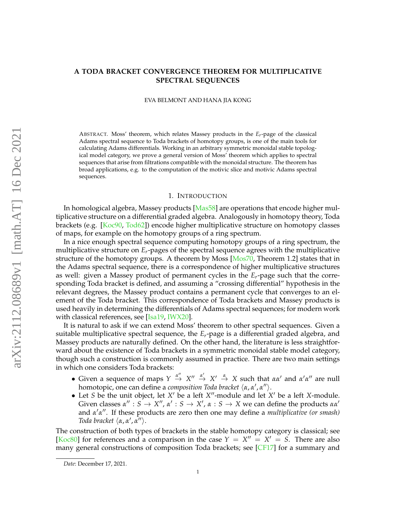# **A TODA BRACKET CONVERGENCE THEOREM FOR MULTIPLICATIVE SPECTRAL SEQUENCES**

EVA BELMONT AND HANA JIA KONG

ABSTRACT. Moss' theorem, which relates Massey products in the  $E_r$ -page of the classical Adams spectral sequence to Toda brackets of homotopy groups, is one of the main tools for calculating Adams differentials. Working in an arbitrary symmetric monoidal stable topological model category, we prove a general version of Moss' theorem which applies to spectral sequences that arise from filtrations compatible with the monoidal structure. The theorem has broad applications, e.g. to the computation of the motivic slice and motivic Adams spectral sequences.

### 1. INTRODUCTION

In homological algebra, Massey products [\[Mas58\]](#page-13-0) are operations that encode higher multiplicative structure on a differential graded algebra. Analogously in homotopy theory, Toda brackets (e.g. [\[Koc90,](#page-13-1) [Tod62\]](#page-14-0)) encode higher multiplicative structure on homotopy classes of maps, for example on the homotopy groups of a ring spectrum.

In a nice enough spectral sequence computing homotopy groups of a ring spectrum, the multiplicative structure on *Er*-pages of the spectral sequence agrees with the multiplicative structure of the homotopy groups. A theorem by Moss [\[Mos70,](#page-13-2) Theorem 1.2] states that in the Adams spectral sequence, there is a correspondence of higher multiplicative structures as well: given a Massey product of permanent cycles in the *Er*-page such that the corresponding Toda bracket is defined, and assuming a "crossing differential" hypothesis in the relevant degrees, the Massey product contains a permanent cycle that converges to an element of the Toda bracket. This correspondence of Toda brackets and Massey products is used heavily in determining the differentials of Adams spectral sequences; for modern work with classical references, see [\[Isa19,](#page-13-3) [IWX20\]](#page-13-4).

It is natural to ask if we can extend Moss' theorem to other spectral sequences. Given a suitable multiplicative spectral sequence, the *Er*-page is a differential graded algebra, and Massey products are naturally defined. On the other hand, the literature is less straightforward about the existence of Toda brackets in a symmetric monoidal stable model category, though such a construction is commonly assumed in practice. There are two main settings in which one considers Toda brackets:

- Given a sequence of maps  $Y \stackrel{\alpha''}{\rightarrow} X'' \stackrel{\alpha'}{\rightarrow} X' \stackrel{\alpha}{\rightarrow} X$  such that  $\alpha \alpha'$  and  $\alpha' \alpha''$  are null homotopic, one can define a *composition Toda bracket*  $\langle \alpha, \alpha', \alpha'' \rangle$ .
- Let *S* be the unit object, let  $X'$  be a left  $X''$ -module and let  $X'$  be a left  $X$ -module. Given classes  $\alpha'' : S \to X''$ ,  $\alpha' : S \to X'$ ,  $\alpha : S \to X$  we can define the products  $\alpha \alpha'$ and *α'α''*. If these products are zero then one may define a *multiplicative* (or smash) *Toda bracket*  $\langle \alpha, \alpha', \alpha'' \rangle$ *.*

The construction of both types of brackets in the stable homotopy category is classical; see [\[Koc80\]](#page-13-5) for references and a comparison in the case  $Y = X'' = X' = S$ . There are also many general constructions of composition Toda brackets; see [\[CF17\]](#page-13-6) for a summary and

*Date*: December 17, 2021.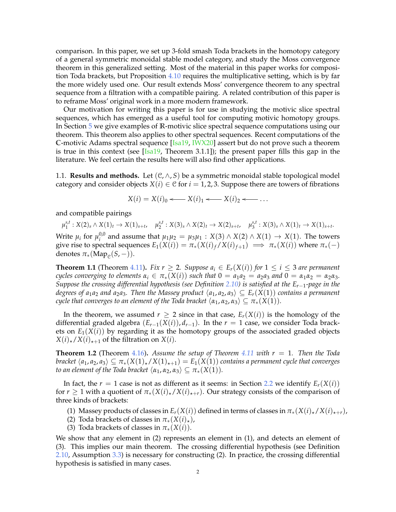comparison. In this paper, we set up 3-fold smash Toda brackets in the homotopy category of a general symmetric monoidal stable model category, and study the Moss convergence theorem in this generalized setting. Most of the material in this paper works for composition Toda brackets, but Proposition [4.10](#page-11-0) requires the multiplicative setting, which is by far the more widely used one. Our result extends Moss' convergence theorem to any spectral sequence from a filtration with a compatible pairing. A related contribution of this paper is to reframe Moss' original work in a more modern framework.

Our motivation for writing this paper is for use in studying the motivic slice spectral sequences, which has emerged as a useful tool for computing motivic homotopy groups. In Section [5](#page-12-0) we give examples of **R**-motivic slice spectral sequence computations using our theorem. This theorem also applies to other spectral sequences. Recent computations of the **C**-motivic Adams spectral sequence [\[Isa19,](#page-13-3) [IWX20\]](#page-13-4) assert but do not prove such a theorem is true in this context (see  $[Isa19, Theorem 3.1.1]$  $[Isa19, Theorem 3.1.1]$ ); the present paper fills this gap in the literature. We feel certain the results here will also find other applications.

1.1. **Results and methods.** Let  $(C, \wedge, S)$  be a symmetric monoidal stable topological model category and consider objects  $X(i) \in \mathcal{C}$  for  $i = 1, 2, 3$ . Suppose there are towers of fibrations

$$
X(i) = X(i)0 \longleftarrow X(i)1 \longleftarrow X(i)2 \longleftarrow \dots
$$

and compatible pairings

 $\mu_1^{s,t}: X(2)_s \wedge X(1)_t \to X(1)_{s+t}, \quad \mu_2^{s,t}: X(3)_s \wedge X(2)_t \to X(2)_{s+t}, \quad \mu_3^{s,t}: X(3)_s \wedge X(1)_t \to X(1)_{s+t}.$ 

Write  $\mu_i$  for  $\mu_i^{0,0}$ *<sup>0,0</sup>* and assume that  $\mu_1\mu_2 = \mu_3\mu_1$  : *X*(3)∧*X*(2)∧*X*(1) → *X*(1). The towers give rise to spectral sequences  $E_1(X(i)) = \pi_*(X(i)_f / X(i)_{f+1}) \implies \pi_*(X(i))$  where  $\pi_*(-)$ denotes  $\pi_*(\text{Map}_{\mathcal{C}}(S,-)).$ 

**Theorem 1.1** (Theorem [4.11\)](#page-11-1). *Fix r*  $\geq$  2*. Suppose a<sub>i</sub>*  $\in E_r(X(i))$  *for*  $1 \leq i \leq 3$  *are permanent cycles converging to elements*  $\alpha_i \in \pi_*(X(i))$  *such that*  $0 = a_1a_2 = a_2a_3$  *and*  $0 = \alpha_1\alpha_2 = \alpha_2\alpha_3$ *. Suppose the crossing differential hypothesis (see Definition [2.10\)](#page-5-0) is satisfied at the Er*−1*-page in the degrees of a*<sub>1</sub>*a*<sub>2</sub> *and a*<sub>2</sub>*a*<sub>3</sub>*.* Then the Massey product  $\langle a_1, a_2, a_3 \rangle \subseteq E_r(X(1))$  contains a permanent *cycle that converges to an element of the Toda bracket*  $\langle \alpha_1, \alpha_2, \alpha_3 \rangle \subseteq \pi_*(X(1))$ *.* 

In the theorem, we assumed  $r > 2$  since in that case,  $E_r(X(i))$  is the homology of the differential graded algebra  $(E_{r-1}(X(i)), d_{r-1})$ . In the  $r = 1$  case, we consider Toda brackets on  $E_1(X(i))$  by regarding it as the homotopy groups of the associated graded objects  $X(i)_\star / X(i)_{\star+1}$  of the filtration on  $X(i)$ .

**Theorem 1.2** (Theorem [4.16\)](#page-12-1). Assume the setup of Theorem [4.11](#page-11-1) with  $r = 1$ . Then the Toda *bracket*  $\langle a_1, a_2, a_3 \rangle \subseteq \pi_*(X(1)_\star / X(1)_{\star+1}) = E_1(X(1))$  *contains a permanent cycle that converges to an element of the Toda bracket*  $\langle \alpha_1, \alpha_2, \alpha_3 \rangle \subseteq \pi_*(X(1)).$ 

In fact, the  $r = 1$  case is not as different as it seems: in Section [2.2](#page-3-0) we identify  $E_r(X(i))$ for  $r \geq 1$  with a quotient of  $\pi_*(X(i)_\star/X(i)_{\star+r})$ . Our strategy consists of the comparison of three kinds of brackets:

(1) Massey products of classes in  $E_r(X(i))$  defined in terms of classes in  $\pi_*(X(i)_\star/X(i)_{\star+r})$ ,

(2) Toda brackets of classes in  $\pi_*(X(i)_*)$ ,

(3) Toda brackets of classes in  $\pi_*(X(i))$ .

We show that any element in (2) represents an element in (1), and detects an element of (3). This implies our main theorem. The crossing differential hypothesis (see Definition [2.10,](#page-5-0) Assumption [3.3\)](#page-7-0) is necessary for constructing (2). In practice, the crossing differential hypothesis is satisfied in many cases.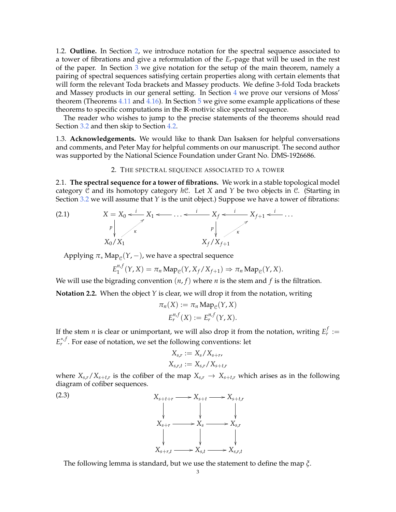1.2. **Outline.** In Section [2,](#page-2-0) we introduce notation for the spectral sequence associated to a tower of fibrations and give a reformulation of the *Er*-page that will be used in the rest of the paper. In Section [3](#page-6-0) we give notation for the setup of the main theorem, namely a pairing of spectral sequences satisfying certain properties along with certain elements that will form the relevant Toda brackets and Massey products. We define 3-fold Toda brackets and Massey products in our general setting. In Section [4](#page-9-0) we prove our versions of Moss' theorem (Theorems [4.11](#page-11-1) and [4.16\)](#page-12-1). In Section [5](#page-12-0) we give some example applications of these theorems to specific computations in the **R**-motivic slice spectral sequence.

The reader who wishes to jump to the precise statements of the theorems should read Section [3.2](#page-7-1) and then skip to Section [4.2.](#page-10-0)

1.3. **Acknowledgements.** We would like to thank Dan Isaksen for helpful conversations and comments, and Peter May for helpful comments on our manuscript. The second author was supported by the National Science Foundation under Grant No. DMS-1926686.

## <span id="page-2-2"></span>2. THE SPECTRAL SEQUENCE ASSOCIATED TO A TOWER

<span id="page-2-0"></span>2.1. **The spectral sequence for a tower of fibrations.** We work in a stable topological model category C and its homotopy category *h*C. Let *X* and *Y* be two objects in C. (Starting in Section [3.2](#page-7-1) we will assume that *Y* is the unit object.) Suppose we have a tower of fibrations:

(2.1) *X* = *X*<sup>0</sup> *p X*1 *<sup>i</sup>* <sup>o</sup> . . . o *X<sup>f</sup> <sup>i</sup>* o *p Xf*+<sup>1</sup> *<sup>i</sup>* <sup>o</sup> . . . *i* o *X*0/*X*<sup>1</sup> *κ X<sup>f</sup>* /*Xf*+<sup>1</sup> *κ*

 $\mathrm{Applying}\; \pi_*\, \mathrm{Map}_{\mathfrak{C}}(Y,-)$ , we have a spectral sequence

$$
E_1^{n,f}(Y,X)=\pi_n\operatorname{Map}_{\mathcal{C}}(Y,X_f/X_{f+1})\Rightarrow \pi_n\operatorname{Map}_{\mathcal{C}}(Y,X).
$$

We will use the bigrading convention  $(n, f)$  where *n* is the stem and *f* is the filtration.

**Notation 2.2.** When the object *Y* is clear, we will drop it from the notation, writing

$$
\pi_n(X) := \pi_n \operatorname{Map}_{\mathcal{C}}(Y, X)
$$

$$
E_r^{n,f}(X) := E_r^{n,f}(Y, X).
$$

If the stem *n* is clear or unimportant, we will also drop it from the notation, writing  $E_r^f :=$ *E*<sup>∗,*f*</sup>. For ease of notation, we set the following conventions: let

<span id="page-2-1"></span>
$$
X_{s,r} := X_s/X_{s+r},
$$
  

$$
X_{s,r,t} := X_{s,r}/X_{s+t,r}
$$

where  $X_{s,r}/X_{s+t,r}$  is the cofiber of the map  $X_{s,r} \to X_{s+t,r}$  which arises as in the following diagram of cofiber sequences.



The following lemma is standard, but we use the statement to define the map *ξ*.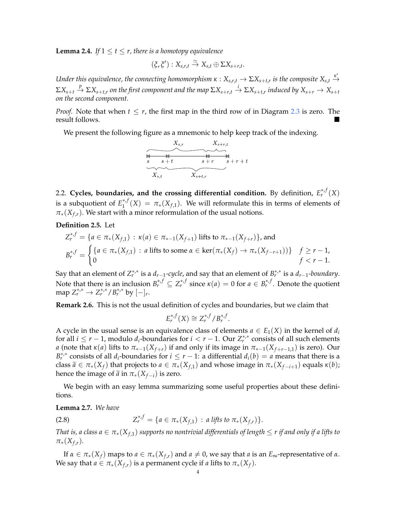<span id="page-3-2"></span>**Lemma 2.4.** *If*  $1 \le t \le r$ , there is a homotopy equivalence

$$
(\xi,\xi'):X_{s,r,t}\stackrel{\simeq}{\to} X_{s,t}\oplus \Sigma X_{s+r,t}.
$$

*Under this equivalence, the connecting homomorphism*  $\kappa: X_{s,r,t}\to \Sigma X_{s+t,r}$  is the composite  $X_{s,t}\stackrel{\kappa'}{\to}$  $\Sigma X_{s+t}\stackrel{p}{\to} \Sigma X_{s+t,r}$  on the first component and the map  $\Sigma X_{s+r,t}\stackrel{i}{\to} \Sigma X_{s+t,r}$  induced by  $X_{s+r}\to X_{s+t}$ *on the second component.*

*Proof.* Note that when  $t \leq r$ , the first map in the third row of in Diagram [2.3](#page-2-1) is zero. The result follows.



<span id="page-3-0"></span>2.2. Cycles, boundaries, and the crossing differential condition. By definition,  $E_r^{*,f}(X)$ is a subquotient of  $E_1^{*,f}$  $\int_1^{*,'}(X) = \pi_*(X_{f,1})$ . We will reformulate this in terms of elements of  $\pi_*(X_{f,r})$ . We start with a minor reformulation of the usual notions.

**Definition 2.5.** Let

$$
Z_r^{*,f} = \{ a \in \pi_*(X_{f,1}) : \kappa(a) \in \pi_{*-1}(X_{f+1}) \text{ lifts to } \pi_{*-1}(X_{f+r}) \}, \text{ and}
$$
  
\n
$$
B_r^{*,f} = \begin{cases} \{ a \in \pi_*(X_{f,1}) : a \text{ lifts to some } \alpha \in \ker(\pi_*(X_f) \to \pi_*(X_{f-r+1})) \} & f \geq r-1, \\ 0 & f < r-1. \end{cases}
$$

Say that an element of  $Z_r^{*,*}$  is a  $d_{r-1}$ -cycle, and say that an element of  $B_r^{*,*}$  is a  $d_{r-1}$ -boundary. Note that there is an inclusion  $B_r^{*,f} \subseteq Z_r^{*,f}$  since  $\kappa(a) = 0$  for  $a \in B_r^{*,f}$ . Denote the quotient  $\max_{r} Z_{r}^{*,*} \to Z_{r}^{*,*} / B_{r}^{*,*}$  by  $[-]_{r}$ .

**Remark 2.6.** This is not the usual definition of cycles and boundaries, but we claim that

$$
E_r^{*,f}(X) \cong Z_r^{*,f}/B_r^{*,f}.
$$

A cycle in the usual sense is an equivalence class of elements  $a \in E_1(X)$  in the kernel of  $d_i$ for all  $i \leq r-1$ , modulo  $d_i$ -boundaries for  $i < r-1$ . Our  $Z_r^{*,*}$  consists of all such elements *a* (note that *κ*(*a*) lifts to  $\pi_{*-1}(X_{f+r})$  if and only if its image in  $\pi_{*-1}(X_{f+r-1,1})$  is zero). Our  $B_r^{*,*}$  consists of all *d*<sub>*i*</sub>-boundaries for  $i \leq r - 1$ : a differential  $d_i(b) = a$  means that there is a class  $\tilde{a} \in \pi_*(X_f)$  that projects to  $a \in \pi_*(X_{f,1})$  and whose image in  $\pi_*(X_{f-i+1})$  equals  $\kappa(b)$ ; hence the image of  $\tilde{a}$  in  $\pi_*(X_{f-i})$  is zero.

We begin with an easy lemma summarizing some useful properties about these definitions.

<span id="page-3-1"></span>**Lemma 2.7.** *We have*

(2.8) 
$$
Z_r^{*,f} = \{a \in \pi_*(X_{f,1}) : a \text{ lifts to } \pi_*(X_{f,r})\}.
$$

*That is, a class*  $a \in \pi_*(X_{f,1})$  *supports no nontrivial differentials of length*  $\leq r$  *if and only if a lifts to*  $\pi_*(X_{f,r})$ .

If *α* ∈ *π*<sub>\*</sub>(*X<sub>f</sub>*) maps to *a* ∈ *π*<sub>\*</sub>(*X<sub>f,r</sub>*) and *a* ≠ 0, we say that *a* is an *E*∞-representative of *α*. We say that  $a \in \pi_*(X_{f,r})$  is a permanent cycle if *a* lifts to  $\pi_*(X_f)$ .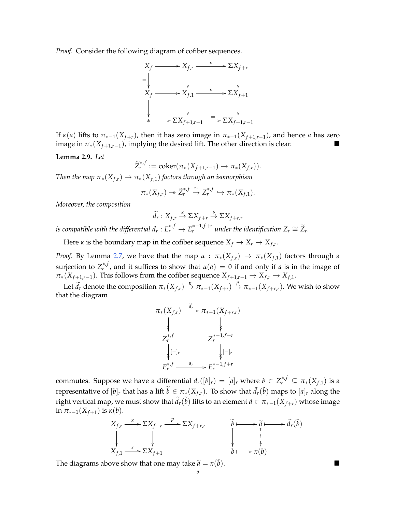*Proof.* Consider the following diagram of cofiber sequences.



If  $\kappa(a)$  lifts to  $\pi_{*-1}(X_{f+r})$ , then it has zero image in  $\pi_{*-1}(X_{f+1,r-1})$ , and hence *a* has zero image in  $\pi_*(X_{f+1,r-1})$ , implying the desired lift. The other direction is clear.

<span id="page-4-0"></span>**Lemma 2.9.** *Let*

$$
\widetilde{Z}_r^{*,f} := \mathrm{coker}(\pi_*(X_{f+1,r-1}) \to \pi_*(X_{f,r})).
$$

*Then the map*  $\pi_*(X_{f,r}) \to \pi_*(X_{f,1})$  *factors through an isomorphism* 

$$
\pi_*(X_{f,r})\twoheadrightarrow \widetilde{Z}_r^{*,f}\stackrel{\cong}{\to} Z_r^{*,f}\hookrightarrow \pi_*(X_{f,1}).
$$

*Moreover, the composition*

$$
\widetilde{d}_r:X_{f,r}\xrightarrow{\kappa}\Sigma X_{f+r}\xrightarrow{p}\Sigma X_{f+r,r}
$$

*is compatible with the differential*  $d_r: E_r^{*,f} \to E_r^{*-1,f+r}$  *under the identification*  $Z_r \cong \widetilde{Z}_r$ *.* 

Here *κ* is the boundary map in the cofiber sequence  $X_f \to X_r \to X_{f,r}$ .

*Proof.* By Lemma [2.7,](#page-3-1) we have that the map  $u : \pi_*(X_{f,r}) \to \pi_*(X_{f,1})$  factors through a surjection to  $Z_r^{*,f}$ , and it suffices to show that  $u(a) = 0$  if and only if *a* is in the image of  $\pi_*(X_{f+1,r-1})$ . This follows from the cofiber sequence  $X_{f+1,r-1} \to X_{f,r} \to X_{f,1}$ .

Let  $\widetilde{d}_r$  denote the composition  $\pi_*(X_{f,r}) \stackrel{\kappa}{\to} \pi_{*-1}(X_{f+r}) \stackrel{p}{\to} \pi_{*-1}(X_{f+r,r})$ . We wish to show that the diagram

$$
\pi_*(X_{f,r}) \xrightarrow{\tilde{d}_r} \pi_{*-1}(X_{f+r,r})
$$
\n
$$
\downarrow \qquad \qquad \downarrow
$$
\n
$$
Z_r^{*,f} \qquad Z_r^{*-1,f+r}
$$
\n
$$
\downarrow \qquad \qquad \downarrow
$$
\n
$$
E_r^{*,f} \xrightarrow{\quad d_r} E_r^{*-1,f+r}
$$

commutes. Suppose we have a differential  $d_r([b]_r) = [a]_r$  where  $b \in Z_r^{*,f} \subseteq \pi_*(X_{f,1})$  is a representative of  $[b]_r$  that has a lift  $\widetilde{b} \in \pi_*(X_{f,r})$ . To show that  $\widetilde{d}_r(\widetilde{b})$  maps to  $[a]_r$  along the right vertical map, we must show that  $\tilde{d}_r(\tilde{b})$  lifts to an element  $\tilde{a} \in \pi_{*-1}(X_{f+r})$  whose image in  $\pi_{*-1}(X_{f+1})$  is  $\kappa(b)$ .

$$
X_{f,r} \xrightarrow{\kappa} \Sigma X_{f+r} \xrightarrow{p} \Sigma X_{f+r,r} \qquad \widetilde{b} \longmapsto \widetilde{a} \longmapsto \widetilde{d}_r(\widetilde{b})
$$
  
\n
$$
X_{f,1} \xrightarrow{\kappa} \Sigma X_{f+1} \qquad \qquad b \longmapsto \kappa(b)
$$

The diagrams above show that one may take  $\tilde{a} = \kappa(\tilde{b})$ .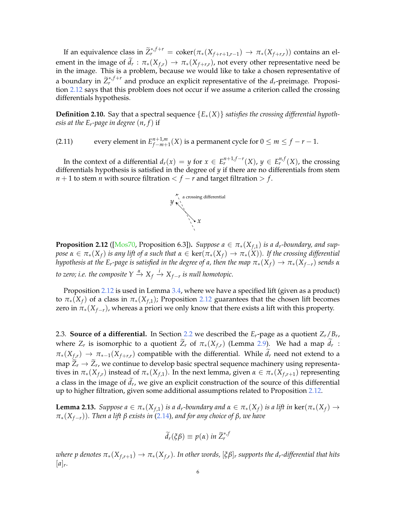If an equivalence class in  $\widetilde{Z}_r^{*,f+r} = \text{coker}(\pi_*(X_{f+r+1,r-1}) \to \pi_*(X_{f+r,r}))$  contains an element in the image of  $d_r$ :  $\pi_*(X_{f,r}) \to \pi_*(X_{f+r,r})$ , not every other representative need be in the image. This is a problem, because we would like to take a chosen representative of a boundary in  $\widetilde{Z}_r^{*,f+r}$  and produce an explicit representative of the  $d_r$ -preimage. Proposition [2.12](#page-5-1) says that this problem does not occur if we assume a criterion called the crossing differentials hypothesis.

<span id="page-5-0"></span>**Definition 2.10.** Say that a spectral sequence {*E*∗(*X*)} *satisfies the crossing differential hypothesis at the Er-page in degree* (*n*, *f*) if

(2.11) every element in  $E_{f-m+1}^{n+1,m}$ *f*−*m*+1(*X*) is a permanent cycle for  $0 \le m \le f - r - 1$ .

In the context of a differential  $d_r(x) = y$  for  $x \in E_r^{n+1,f-r}(X)$ ,  $y \in E_r^{n,f}(X)$ , the crossing differentials hypothesis is satisfied in the degree of *y* if there are no differentials from stem *n* + 1 to stem *n* with source filtration  $\lt f$  – *r* and target filtration  $> f$ .



<span id="page-5-1"></span>**Proposition 2.12** ([\[Mos70,](#page-13-2) Proposition 6.3]). *Suppose a*  $\in$   $\pi_*(X_{f,1})$  *is a d<sub>r</sub>-boundary, and suppose*  $\alpha \in \pi_*(X_f)$  *is any lift of a such that*  $\alpha \in \text{ker}(\pi_*(X_f) \to \pi_*(X))$ *. If the crossing differential hypothesis at the E<sub><i>r*</sub>-page is satisfied in the degree of a, then the map  $\pi_*(X_f) \to \pi_*(X_{f-r})$  *sends*  $\alpha$ *to zero; i.e. the composite*  $Y \xrightarrow{\alpha} X_f \xrightarrow{i} X_{f-r}$  *is null homotopic.* 

Proposition [2.12](#page-5-1) is used in Lemma [3.4,](#page-7-2) where we have a specified lift (given as a product) to  $\pi_*(X_f)$  of a class in  $\pi_*(X_{f,1})$ ; Proposition [2.12](#page-5-1) guarantees that the chosen lift becomes zero in  $\pi_*(X_{f-r})$ , whereas a priori we only know that there exists a lift with this property.

2.3. **Source of a differential.** In Section [2.2](#page-3-0) we described the *Er*-page as a quotient *Zr*/*B<sup>r</sup>* , where  $Z_r$  is isomorphic to a quotient  $\overline{Z}_r$  of  $\pi_*(X_{f,r})$  (Lemma [2.9\)](#page-4-0). We had a map  $d_r$ :  $\pi_*(X_{f,r}) \to \pi_{*-1}(X_{f+r,r})$  compatible with the differential. While  $\tilde{d}_r$  need not extend to a map  $Z_r \to Z_r$ , we continue to develop basic spectral sequence machinery using representatives in  $\pi_*(X_{f,r})$  instead of  $\pi_*(X_{f,1})$ . In the next lemma, given  $\alpha \in \pi_*(X_{f,r+1})$  representing a class in the image of  $d_r$ , we give an explicit construction of the source of this differential up to higher filtration, given some additional assumptions related to Proposition [2.12.](#page-5-1)

<span id="page-5-2"></span>**Lemma 2.13.** *Suppose a* ∈  $π_*(X_{f,1})$  *is a d<sub>r</sub>-boundary and*  $α ∈ π_*(X_f)$  *is a lift in* ker( $π_*(X_f)$  → *π*∗(*Xf*−*r*))*. Then a lift β exists in* [\(2.14\)](#page-6-1)*, and for any choice of β, we have*

$$
\widetilde{d}_r(\xi\beta)\equiv p(\alpha)\ in\ \widetilde{Z}_r^{*,f}
$$

*where p* denotes  $\pi_*(X_{f,r+1}) \to \pi_*(X_{f,r})$ . In other words,  $[\xi \beta]_r$  supports the  $d_r$ -differential that hits  $[a]_r$ .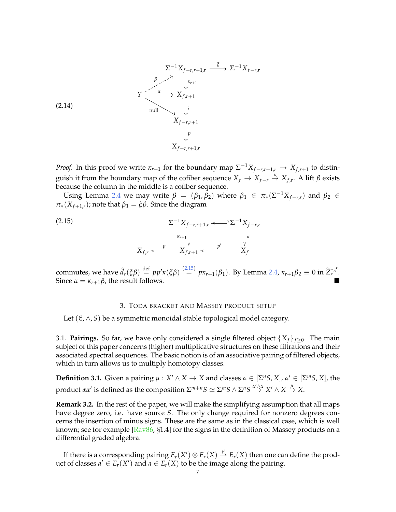<span id="page-6-1"></span>
$$
\Sigma^{-1}X_{f-r,r+1,r} \xrightarrow{\xi} \Sigma^{-1}X_{f-r,r}
$$
\n
$$
\begin{array}{c}\n\beta \nearrow \searrow^{\xi} \qquad \downarrow \kappa_{r+1} \\
\downarrow \kappa_{r+1} \\
\downarrow \iota \\
\downarrow \iota \\
X_{f-r,r+1} \\
\downarrow p \\
X_{f-r,r+1,r}\n\end{array}
$$
\n
$$
(2.14)
$$

*Proof.* In this proof we write  $\kappa_{r+1}$  for the boundary map  $\Sigma^{-1}X_{f-r,r+1,r} \to X_{f,r+1}$  to distinguish it from the boundary map of the cofiber sequence  $X_f \to X_{f-r} \stackrel{\kappa}{\to} X_{f,r}$ . A lift  $\beta$  exists because the column in the middle is a cofiber sequence.

Using Lemma [2.4](#page-3-2) we may write  $\beta = (\beta_1, \beta_2)$  where  $\beta_1 \in \pi_*(\Sigma^{-1}X_{f-r,r})$  and  $\beta_2 \in$ *π*<sup>\*</sup>(*X*<sup>*f*+1,*r*</sub>); note that  $β_1 = \xi β$ . Since the diagram</sup>

<span id="page-6-2"></span>(2.15) 
$$
\Sigma^{-1} X_{f-r,r+1,r} \longleftrightarrow \Sigma^{-1} X_{f-r,r}
$$

$$
\begin{array}{c} \Sigma^{-1} X_{f-r,r+1,r} \longleftrightarrow \Sigma^{-1} X_{f-r,r} \\ \downarrow^k \\ X_{f,r} \longleftarrow \Sigma f_{f-r+1} \longleftarrow \Sigma f \\ X_f \end{array}
$$

commutes, we have  $\tilde{d}_r(\xi \beta) \stackrel{\text{def}}{=} pp' \kappa(\xi \beta) \stackrel{(2.15)}{=} px_{r+1}(\beta_1)$  $\tilde{d}_r(\xi \beta) \stackrel{\text{def}}{=} pp' \kappa(\xi \beta) \stackrel{(2.15)}{=} px_{r+1}(\beta_1)$  $\tilde{d}_r(\xi \beta) \stackrel{\text{def}}{=} pp' \kappa(\xi \beta) \stackrel{(2.15)}{=} px_{r+1}(\beta_1)$ . By Lemma [2.4,](#page-3-2)  $\kappa_{r+1} \beta_2 \equiv 0$  in  $\tilde{Z}_r^{*,f}$ . Since  $\alpha = \kappa_{r+1}\beta$ , the result follows.

## 3. TODA BRACKET AND MASSEY PRODUCT SETUP

<span id="page-6-0"></span>Let  $(C, \wedge, S)$  be a symmetric monoidal stable topological model category.

3.1. **Pairings.** So far, we have only considered a single filtered object  $\{X_f\}_{f\geq 0}$ . The main subject of this paper concerns (higher) multiplicative structures on these filtrations and their associated spectral sequences. The basic notion is of an associative pairing of filtered objects, which in turn allows us to multiply homotopy classes.

**Definition 3.1.** Given a pairing  $\mu : X' \wedge X \to X$  and classes  $\alpha \in [\Sigma^n S, X]$ ,  $\alpha' \in [\Sigma^m S, X]$ , the  $\Delta$  product *αα'* is defined as the composition  $\Sigma^{m+n}S \simeq \Sigma^m S \wedge \Sigma^n S \stackrel{\alpha' \wedge \alpha}{\to} X' \wedge X \stackrel{\mu}{\to} X.$ 

<span id="page-6-3"></span>**Remark 3.2.** In the rest of the paper, we will make the simplifying assumption that all maps have degree zero, i.e. have source *S*. The only change required for nonzero degrees concerns the insertion of minus signs. These are the same as in the classical case, which is well known; see for example [\[Rav86,](#page-14-1) §1.4] for the signs in the definition of Massey products on a differential graded algebra.

If there is a corresponding pairing  $E_r(X')\otimes E_r(X)\stackrel{\mu}{\to} E_r(X)$  then one can define the product of classes  $a' \in E_r(X')$  and  $a \in E_r(X)$  to be the image along the pairing.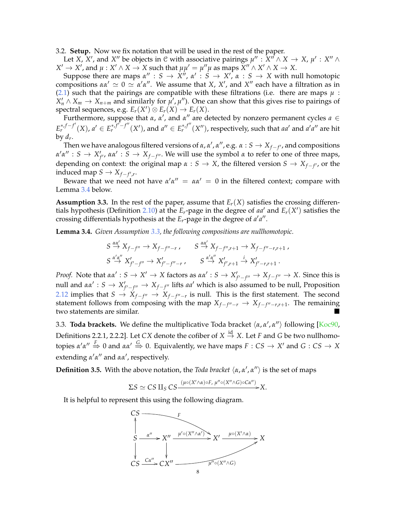<span id="page-7-1"></span>3.2. **Setup.** Now we fix notation that will be used in the rest of the paper.

Let *X*,  $X'$ , and  $X''$  be objects in  $C$  with associative pairings  $\mu''$  :  $\tilde{X}'' \wedge X \to X$ ,  $\mu'$  :  $X'' \wedge X$  $X' \to X'$ , and  $\mu: X' \wedge X \to X$  such that  $\mu\mu' = \mu''\mu$  as maps  $X'' \wedge X' \wedge X \to X$ .

Suppose there are maps  $\alpha'' : S \to X''$ ,  $\alpha' : S \to X'$ ,  $\alpha : S \to X$  with null homotopic compositions  $αα' \approx 0 \approx α'α''$ . We assume that *X*, *X'*, and *X''* each have a filtration as in [\(2.1\)](#page-2-2) such that the pairings are compatible with these filtrations (i.e. there are maps  $\mu$ :  $X'_n \wedge X_m \to X_{n+m}$  and similarly for  $\mu', \mu''$ ). One can show that this gives rise to pairings of  ${\rm spectral\ sequences}$ , e.g.  $E_r(X')\otimes E_r(X)\to E_r(X).$ 

Furthermore, suppose that  $\alpha$ ,  $\alpha'$ , and  $\alpha''$  are detected by nonzero permanent cycles  $a \in$  $E_r^{*,f-f'}(X)$ ,  $a' \in E_r^{*,f'-f''}(X')$ , and  $a'' \in E_r^{*,f''}(X'')$ , respectively, such that aa' and a'a'' are hit by  $d_r$ .

Then we have analogous filtered versions of  $\alpha$ ,  $\alpha'$ ,  $\alpha''$ , e.g.  $\alpha: S \to X_{f-f'}$ , and compositions  $α'α''$  : *S*  $\rightarrow$  *X'<sub>f'</sub>*, *αα'* : *S*  $\rightarrow$  *X<sub>f-f''</sub>*. We will use the symbol *α* to refer to one of three maps, depending on context: the original map  $\alpha$  : *S*  $\rightarrow$  *X*, the filtered version *S*  $\rightarrow$  *X*<sub>*f*−*f'*</sub>, or the induced map  $S \to X_{f-f',r}$ .

Beware that we need not have  $\alpha' \alpha'' = \alpha \alpha' = 0$  in the filtered context; compare with Lemma [3.4](#page-7-2) below.

<span id="page-7-0"></span>**Assumption 3.3.** In the rest of the paper, assume that  $E_r(X)$  satisfies the crossing differen-tials hypothesis (Definition [2.10\)](#page-5-0) at the  $E_r$ -page in the degree of aa' and  $E_r(X')$  satisfies the crossing differentials hypothesis at the  $E_r$ -page in the degree of  $a'a''$ .

<span id="page-7-2"></span>**Lemma 3.4.** *Given Assumption [3.3,](#page-7-0) the following compositions are nullhomotopic.*

$$
S \stackrel{\alpha\alpha'}{\rightarrow} X_{f-f''} \rightarrow X_{f-f''-r} , \qquad S \stackrel{\alpha\alpha'}{\rightarrow} X_{f-f'',r+1} \rightarrow X_{f-f''-r,r+1} ,
$$
  

$$
S \stackrel{\alpha'\alpha''}{\rightarrow} X'_{f'-f''} \rightarrow X'_{f'-f''-r} , \qquad S \stackrel{\alpha'\alpha''}{\rightarrow} X'_{f',r+1} \stackrel{i}{\rightarrow} X'_{f'-r,r+1} .
$$

*Proof.* Note that  $\alpha \alpha' : S \to X' \to X$  factors as  $\alpha \alpha' : S \to X'_{f'-f''} \to X_{f-f''} \to X$ . Since this is null and  $\alpha \alpha' : S \to X'_{f'-f''} \to X_{f-f''}$  lifts  $a a'$  which is also assumed to be null, Proposition [2.12](#page-5-1) implies that  $S$  →  $\overline{X}_{f-f''}$  →  $\overline{X}_{f-f''-r}$  is null. This is the first statement. The second statement follows from composing with the map  $X_{f-f''-r} \to X_{f-f''-r,r+1}$ . The remaining two statements are similar.

3.3. **Toda brackets.** We define the multiplicative Toda bracket  $\langle \alpha, \alpha', \alpha'' \rangle$  following [\[Koc90,](#page-13-1) Definitions 2.2.1, 2.2.2]. Let *CX* denote the cofiber of  $X \stackrel{\text{id}}{\rightarrow} X$ . Let *F* and *G* be two nullhomo- $\phi$  *c c α' α''*  $\xrightarrow{F}$  0 and *αα'*  $\xrightarrow{G}$  0. Equivalently, we have maps  $F: CS \to X'$  and  $G: CS \to X$ extending  $\alpha'$ α<sup>*''*</sup> and αα<sup>'</sup>, respectively.

<span id="page-7-3"></span>**Definition 3.5.** With the above notation, the *Toda bracket*  $\langle \alpha, \alpha', \alpha'' \rangle$  is the set of maps

$$
\Sigma S \simeq C S \amalg_S C S \xrightarrow{(\mu \circ (X' \wedge \alpha) \circ F, \ \mu'' \circ (X'' \wedge G) \circ C \alpha'')} X.
$$

It is helpful to represent this using the following diagram.

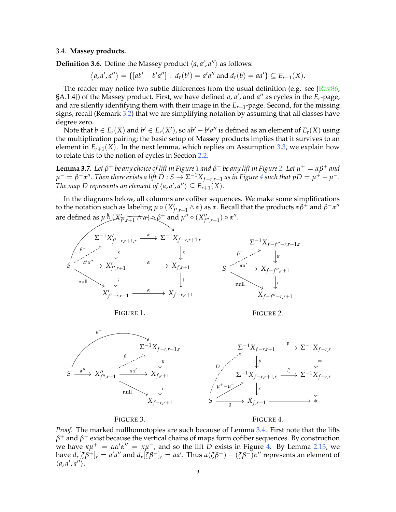### 3.4. **Massey products.**

**Definition 3.6.** Define the Massey product  $\langle a, a', a'' \rangle$  as follows:

 $\langle a, a', a'' \rangle = \{ [ab' - b'a''] : d_r(b') = a'a'' \text{ and } d_r(b) = aa' \} \subseteq E_{r+1}(X).$ 

The reader may notice two subtle differences from the usual definition (e.g. see  $\sqrt{\text{Ray86}}$ , §A.1.4]) of the Massey product. First, we have defined *a*, *a*', and *a*<sup>"</sup> as cycles in the *E*<sub>*r*</sub>-page, and are silently identifying them with their image in the *Er*+1-page. Second, for the missing signs, recall (Remark [3.2\)](#page-6-3) that we are simplifying notation by assuming that all classes have degree zero.

Note that  $b \in E_r(X)$  and  $b' \in E_r(X')$ , so  $ab'-b'a''$  is defined as an element of  $E_r(X)$  using the multiplication pairing; the basic setup of Massey products implies that it survives to an element in  $E_{r+1}(X)$ . In the next lemma, which replies on Assumption [3.3,](#page-7-0) we explain how to relate this to the notion of cycles in Section [2.2.](#page-3-0)

<span id="page-8-3"></span> $L$ emma 3.7. Let  $β^+$  be any choice of lift in Figure [1](#page-8-0) and  $β^-$  be any lift in Figure [2.](#page-8-1) Let  $μ^+ = αβ^+$  and  $\mu^- = \beta^- \alpha''$ . Then there exists a lift  $D: S \to \Sigma^{-1} X_{f-r,r+1}$  as in Figure [4](#page-8-2) such that  $pD = \mu^+ - \mu^-$ . *The map D represents an element of*  $\langle a, a', a'' \rangle \subseteq E_{r+1}(X)$ *.* 

In the diagrams below, all columns are cofiber sequences. We make some simplifications to the notation such as labeling  $\mu \circ (X'_{f',r+1} \wedge \alpha)$  as  $\alpha$ . Recall that the products  $\alpha\beta^+$  and  $\beta^-\alpha''$ are defined as  $\mu \overset{\mu^+}{\circlearrowright} (X'_{f',r+1} \wedge \alpha) \circ \beta^+$  and  $\mu'' \circ (X''_{f'',r+1}) \circ \alpha''$ .



<span id="page-8-0"></span>FIGURE 1.

<span id="page-8-1"></span>FIGURE 2.



<span id="page-8-4"></span>FIGURE 3.

<span id="page-8-2"></span>FIGURE 4.

*Proof.* The marked nullhomotopies are such because of Lemma [3.4.](#page-7-2) First note that the lifts *β* <sup>+</sup> and *β* <sup>−</sup> exist because the vertical chains of maps form cofiber sequences. By construction we have  $\kappa \mu^+ = \alpha \alpha' \alpha'' = \kappa \mu^-$ , and so the lift  $\bar{D}$  exists in Figure [4.](#page-8-2) By Lemma [2.13,](#page-5-2) we  $a_r$  [*ξβ*<sup>+</sup>] $_r = a'a''$  and  $d_r$  [*ξβ*<sup>-</sup>] $_r = aa'$ . Thus  $\alpha$  (*ξβ*<sup>+</sup>) – (*ξβ*<sup>-</sup>) $\alpha''$  represents an element of  $\langle a, a', a'' \rangle$ .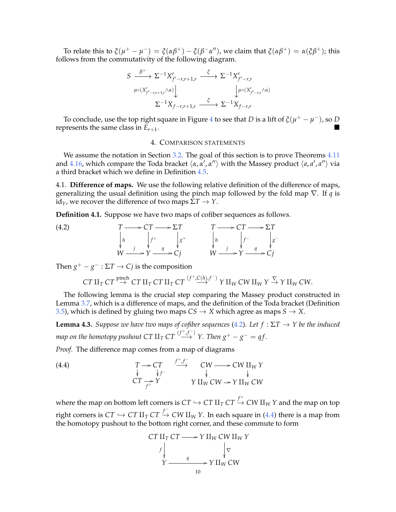To relate this to  $\xi(\mu^+ - \mu^-) = \xi(\alpha\beta^+) - \xi(\beta^-\alpha'')$ , we claim that  $\xi(\alpha\beta^+) = \alpha(\xi\beta^+)$ ; this follows from the commutativity of the following diagram.

$$
S \xrightarrow{\beta^+} \Sigma^{-1} X'_{f'-r,r+1,r} \xrightarrow{\xi} \Sigma^{-1} X'_{f'-r,r} \downarrow
$$
  

$$
\downarrow^{\mu \circ (X'_{f'-r,r+1,r} \wedge \alpha)} \downarrow^{\mu \circ (X'_{f'-r,r} \wedge \alpha)} \downarrow^{\mu \circ (X'_{f'-r,r} \wedge \alpha)}
$$
  

$$
\Sigma^{-1} X_{f-r,r+1,r} \xrightarrow{\xi} \Sigma^{-1} X_{f-r,r}
$$

To conclude, use the top right square in Figure  $4$  to see that  $D$  is a lift of  $\xi(\mu^+ - \mu^-)$ , so  $D$ represents the same class in  $E_{r+1}$ .

### 4. COMPARISON STATEMENTS

<span id="page-9-0"></span>We assume the notation in Section [3.2.](#page-7-1) The goal of this section is to prove Theorems [4.11](#page-11-1) and [4.16,](#page-12-1) which compare the Toda bracket  $\langle \alpha, \alpha', \alpha'' \rangle$  with the Massey product  $\langle a, a', a'' \rangle$  via a third bracket which we define in Definition [4.5.](#page-10-1)

4.1. **Difference of maps.** We use the following relative definition of the difference of maps, generalizing the usual definition using the pinch map followed by the fold map ∇. If *q* is  $id<sub>γ</sub>$ , we recover the difference of two maps  $ΣT → Y$ .

**Definition 4.1.** Suppose we have two maps of cofiber sequences as follows.

 $(T \longrightarrow 0$ 

| $\rightarrow$ CT $\longrightarrow$ $\Sigma T$ | $T \longrightarrow CT \longrightarrow \Sigma T$ |
|-----------------------------------------------|-------------------------------------------------|
| $g^+$                                         | $ _g$                                           |
| $\rightarrow Y \rightarrow Cj$                | $W \xrightarrow{f} Y \xrightarrow{q} Cj$        |

−

Then  $g^+ - g^- : \Sigma T \to Cj$  is the composition

<span id="page-9-1"></span>*h* ľ

 $\stackrel{\prime}{W}$   $\stackrel{j}{\phantom{\cdot}}$ 

$$
CT\amalg_T CT \stackrel{\text{pinch}}{\rightarrow} CT\amalg_T CT\amalg_T CT \stackrel{(f^+, C(h), f^-)}{\rightarrow} Y\amalg_W CW\amalg_W Y \stackrel{\nabla}{\rightarrow} Y\amalg_W CW.
$$

The following lemma is the crucial step comparing the Massey product constructed in Lemma [3.7,](#page-8-3) which is a difference of maps, and the definition of the Toda bracket (Definition [3.5\)](#page-7-3), which is defined by gluing two maps  $CS \rightarrow X$  which agree as maps  $S \rightarrow X$ .

<span id="page-9-3"></span>**Lemma 4.3.** *Suppose we have two maps of cofiber sequences* [\(4.2\)](#page-9-1)*.* Let  $f : \Sigma T \rightarrow Y$  be the induced *map on the homotopy pushout CT*  $\amalg_T$  *CT*  $\stackrel{(f^+,f^-)}{\longrightarrow}$  *Y. Then*  $g^+-g^-=qf.$ 

*Proof.* The difference map comes from a map of diagrams

<span id="page-9-2"></span>(4.4) 
$$
T \rightarrow CT \quad \downarrow
$$

$$
C T \rightarrow Y \quad \downarrow
$$

$$
C T \rightarrow Y \quad \downarrow
$$

$$
V \amalg_{W} C W \rightarrow Y \amalg_{W} C W
$$

where the map on bottom left corners is  $CT \hookrightarrow CT\amalg_TCT \stackrel{f^+}\to CW\amalg_WY$  and the map on top right corners is  $CT \hookrightarrow CT$   $\amalg_T$   $CT \stackrel{f^-}{\rightarrow} CW$   $\amalg_W Y$ . In each square in [\(4.4\)](#page-9-2) there is a map from the homotopy pushout to the bottom right corner, and these commute to form

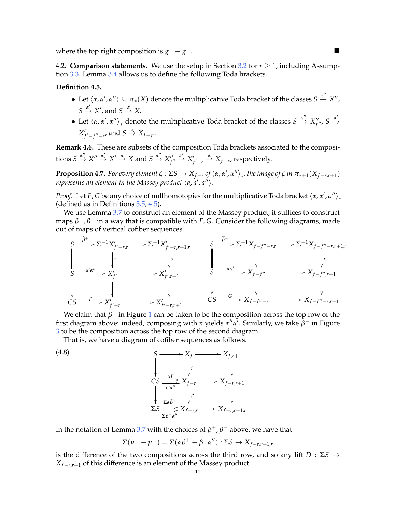where the top right composition is  $g^+ - g$ −.<br>−.

<span id="page-10-0"></span>4.2. **Comparison statements.** We use the setup in Section [3.2](#page-7-1) for  $r \ge 1$ , including Assumption [3.3.](#page-7-0) Lemma [3.4](#page-7-2) allows us to define the following Toda brackets.

## <span id="page-10-1"></span>**Definition 4.5.**

- Let  $\langle \alpha, \alpha', \alpha''\rangle \subseteq \pi_*(X)$  denote the multiplicative Toda bracket of the classes  $S \stackrel{\alpha''}{\to} X''$ ,  $S \stackrel{\alpha'}{\rightarrow} X'$ , and  $S \stackrel{\alpha}{\rightarrow} X$ .
- Let  $\langle \alpha, \alpha', \alpha'' \rangle_*$  denote the multiplicative Toda bracket of the classes  $S \stackrel{\alpha''}{\to} X''_{f''}, S \stackrel{\alpha'}{\to}$  $X'_{f'-f''-r'}$  and  $S \stackrel{\alpha}{\rightarrow} X_{f-f'}.$

**Remark 4.6.** These are subsets of the composition Toda brackets associated to the compositions  $S \xrightarrow{\alpha''} X'' \xrightarrow{\alpha'} X' \xrightarrow{\alpha} X$  and  $S \xrightarrow{\alpha''} X''_{f''} \xrightarrow{\alpha'} X'_{f'-r} \xrightarrow{\alpha} X_{f-r}$ , respectively.

<span id="page-10-3"></span>**Proposition 4.7.** For every element  $\zeta : \Sigma S \to X_{f-r}$  of  $\langle \alpha, \alpha', \alpha'' \rangle_*$ , the image of  $\zeta$  in  $\pi_{*+1}(X_{f-r,r+1})$ *represents an element in the Massey product*  $\langle$ *a,a',a''* $\rangle$ *.* 

*Proof.* Let *F*, *G* be any choice of nullhomotopies for the multiplicative Toda bracket  $\langle \alpha, \alpha', \alpha'' \rangle_*$ (defined as in Definitions [3.5,](#page-7-3) [4.5\)](#page-10-1).

We use Lemma [3.7](#page-8-3) to construct an element of the Massey product; it suffices to construct maps *β* <sup>+</sup>, *β* <sup>−</sup> in a way that is compatible with *F*, *G*. Consider the following diagrams, made out of maps of vertical cofiber sequences.

$$
S \xrightarrow{\tilde{\beta}^+} \Sigma^{-1} X'_{f'-r,r} \longrightarrow \Sigma^{-1} X'_{f'-r,r+1,r} \longrightarrow S \xrightarrow{\tilde{\beta}^-} \Sigma^{-1} X_{f-f''-r,r} \longrightarrow \Sigma^{-1} X_{f-f''-r,r+1,r}
$$
\n
$$
S \xrightarrow{\alpha'\alpha''} X'_{f'} \longrightarrow X'_{f',r+1} \longrightarrow X'_{f',r+1} \longrightarrow S \xrightarrow{\alpha\alpha'} \times X_{f-f''} \longrightarrow X_{f-f'',r+1}
$$
\n
$$
CS \xrightarrow{F} X'_{f'-r} \longrightarrow X'_{f'-r,r+1} \longrightarrow X'_{f'-r,r+1} \longrightarrow S \xrightarrow{G} X_{f-f''-r} \longrightarrow X_{f-f''-r,r+1}
$$

We claim that  $\beta^+$  in Figure [1](#page-8-0) can be taken to be the composition across the top row of the first diagram above: indeed, composing with *κ* yields  $\alpha'' \alpha'$ . Similarly, we take  $\hat{\beta}^-$  in Figure [3](#page-8-4) to be the composition across the top row of the second diagram.

<span id="page-10-2"></span>That is, we have a diagram of cofiber sequences as follows.

(4.8)  
\n
$$
\begin{array}{ccc}\n & S \longrightarrow X_f & \longrightarrow X_{f,r+1} \\
 & \downarrow & & \downarrow \\
 & \downarrow & & \downarrow \\
 & \downarrow & & \downarrow \\
 & \downarrow & & \downarrow \\
 & \downarrow & & \downarrow \\
 & \downarrow & & \downarrow \\
 & \downarrow & & \downarrow \\
 & \downarrow & & \downarrow \\
 & \downarrow & & \downarrow \\
 & \downarrow & & \downarrow \\
 & \downarrow & & \downarrow \\
 & \downarrow & & \downarrow \\
 & \downarrow & & \downarrow \\
 & \downarrow & & \downarrow \\
 & \downarrow & & \downarrow \\
 & \downarrow & & \downarrow \\
 & \downarrow & & \downarrow \\
 & \downarrow & & \downarrow \\
 & \downarrow & & \downarrow \\
 & \downarrow & & \downarrow \\
 & \downarrow & & \downarrow \\
 & \downarrow & & \downarrow \\
 & \downarrow & & \downarrow \\
 & \downarrow & & \downarrow \\
 & \downarrow & & \downarrow \\
 & \downarrow & & \downarrow \\
 & \downarrow & & \downarrow \\
 & \downarrow & & \downarrow \\
 & \downarrow & & \downarrow \\
 & \downarrow & & \downarrow \\
 & \downarrow & & \downarrow \\
 & \downarrow & & \downarrow \\
 & \downarrow & & \downarrow \\
 & \downarrow & & \downarrow \\
 & \downarrow & & \downarrow \\
 & \downarrow & & \downarrow \\
 & \downarrow & & \downarrow \\
 & \downarrow & & \downarrow \\
 & \downarrow & & \downarrow \\
 & \downarrow & & \downarrow \\
 & \downarrow & & \downarrow \\
 & \downarrow & & \downarrow \\
 & \downarrow & & \downarrow \\
 & \downarrow & & \downarrow \\
 & \downarrow & & \downarrow \\
 & \downarrow & & \downarrow \\
 & \downarrow & & \downarrow \\
 & \downarrow & & \downarrow \\
 & \downarrow & & \downarrow \\
 & \downarrow & & \downarrow \\
 & \downarrow & & \downarrow \\
 & \downarrow & & \downarrow \\
 & \downarrow & & \downarrow \\
 & \downarrow & & \downarrow \\
 & \downarrow & & \downarrow \\
 & \downarrow & & \downarrow \\
 & \downarrow & & \downarrow \\
 & \downarrow & & \downarrow \\
 & \downarrow & & \downarrow \\
 & \downarrow & & \downarrow \\
 & \downarrow & & \downarrow \\
 & \downarrow & & \downarrow \\
 & \downarrow & & \downarrow \\
 & \downarrow & & \downarrow \\
 & \downarrow & & \downarrow \\
 & \downarrow & & \downarrow \\
 & \downarrow & & \downarrow \\
 & \downarrow & & \downarrow \\
 & \downarrow & & \downarrow \\
 & \downarrow & & \downarrow \\
 & \downarrow & & \downarrow \\
 & \downarrow & & \downarrow \\
 & \downarrow & & \
$$

In the notation of Lemma [3.7](#page-8-3) with the choices of  $\beta^+$ ,  $\beta^-$  above, we have that

$$
\Sigma(\mu^+ - \mu^-) = \Sigma(\alpha \beta^+ - \beta^- \alpha'') : \Sigma S \to X_{f-r,r+1,r}
$$

is the difference of the two compositions across the third row, and so any lift *D* : Σ*S* → *X*<sup>*f*−*r*,*r*+1</sub> of this difference is an element of the Massey product.</sup>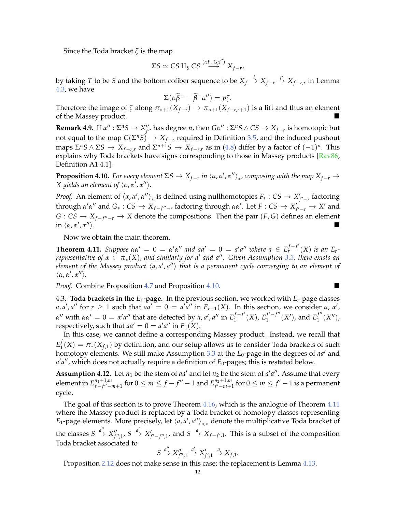Since the Toda bracket *ζ* is the map

$$
\Sigma S \simeq C S \amalg_S C S \stackrel{(\alpha F, G \alpha'')}{\longrightarrow} X_{f-r},
$$

by taking *T* to be *S* and the bottom cofiber sequence to be  $X_f \stackrel{i}{\to} X_{f-r} \stackrel{p}{\to} X_{f-r,r}$  in Lemma [4.3,](#page-9-3) we have

$$
\Sigma(\alpha \widetilde{\beta}^+ - \widetilde{\beta}^- \alpha'') = p\zeta.
$$

Therefore the image of *ζ* along  $\pi_{*+1}(X_{f-r}) \to \pi_{*+1}(X_{f-r,r+1})$  is a lift and thus an element of the Massey product.

**Remark 4.9.** If  $\alpha''$  :  $\Sigma^nS \to X''_{f''}$  has degree *n*, then  $G\alpha''$  :  $\Sigma^nS \wedge CS \to X_{f-r}$  is homotopic but not equal to the map *C*(Σ *<sup>n</sup>S*) → *Xf*−*<sup>r</sup>* required in Definition [3.5,](#page-7-3) and the induced pushout  $n = \sum_{i=1}^{n} \sum_{i=1}^{n} \sum_{i=1}^{n} \sum_{i=1}^{n} \sum_{i=1}^{n} \sum_{i=1}^{n} \sum_{i=1}^{n} \sum_{i=1}^{n} \sum_{i=1}^{n} \sum_{i=1}^{n} \sum_{i=1}^{n} \sum_{i=1}^{n} \sum_{i=1}^{n} \sum_{i=1}^{n} \sum_{i=1}^{n} \sum_{i=1}^{n} \sum_{i=1}^{n} \sum_{i=1}^{n} \sum_{i=1}^{n} \sum_{i=1}^{n} \sum_{i=1}^{n} \sum_{i=1$ explains why Toda brackets have signs corresponding to those in Massey products [\[Rav86,](#page-14-1) Definition A1.4.1].

<span id="page-11-0"></span>**Proposition 4.10.** *For every element*  $\Sigma S \to X_{f-r}$  *in*  $\langle \alpha, \alpha', \alpha'' \rangle_*$ , composing with the map  $X_{f-r} \to$ *X* yields an element of  $\langle \alpha, \alpha', \alpha'' \rangle$ .

*Proof.* An element of  $\langle \alpha, \alpha', \alpha'' \rangle_*$  is defined using nullhomotopies  $F_*: CS \to X'_{f'-r}$  factoring  $\alpha$  *α*<sup>*α*</sup> and *G*<sub>∗</sub> : *CS* → *X<sub>f−f<sup><i>u*</sup>−*r*</sub> factoring through *αα*<sup>*'*</sup>. Let *F* : *CS* → *X<sup><i>i*</sup><sub>f</sub><sup>*i*</sup>−*r*</sub> → *X*<sup>*'*</sup> and *G* : *CS* →  $X_{f-f''-r}$  → *X* denote the compositions. Then the pair  $(F, G)$  defines an element in  $\langle \alpha, \alpha', \alpha \rangle$  $\langle \cdot \rangle$ .

Now we obtain the main theorem.

<span id="page-11-1"></span>**Theorem 4.11.** Suppose  $\alpha \alpha' = 0 = \alpha' \alpha''$  and  $aa' = 0 = a'a''$  where  $a \in E_r^{f-f'}(X)$  is an  $E_r$ *representative of*  $\alpha \in \pi_*(X)$ , and similarly for a' and a''. Given Assumption [3.3,](#page-7-0) there exists an element of the Massey product  $\langle a, a', a'' \rangle$  that is a permanent cycle converging to an element of  $\langle \alpha, \alpha', \alpha'' \rangle.$ 

*Proof.* Combine Proposition [4.7](#page-10-3) and Proposition [4.10.](#page-11-0)

4.3. **Toda brackets in the**  $E_1$ **-page.** In the previous section, we worked with  $E_r$ -page classes *a*, *a'*, *a''* for  $r \ge 1$  such that  $aa' = 0 = a'a''$  in  $E_{r+1}(X)$ . In this section, we consider  $\alpha$ ,  $\alpha'$ , *α*<sup>*''*</sup> with *αα'* = 0 = *α'α''* that are detected by *a*, *a'*, *a''* in  $E_1^{f-f'}$  $i_1^{f-f'}(X)$ ,  $E_1^{f'-f''}$  $\int_{1}^{f'-f''}(X')$ , and  $E_1^{f''}$  $j^{'''}_{1}(X'')$ , respectively, such that  $aa' = 0 = a'a''$  in  $E_1(X)$ .

In this case, we cannot define a corresponding Massey product. Instead, we recall that *E f*  $\mathcal{I}_1(X) = \pi_*(X_{f,1})$  by definition, and our setup allows us to consider Toda brackets of such homotopy elements. We still make Assumption [3.3](#page-7-0) at the *E*<sub>0</sub>-page in the degrees of *aa'* and *a'a''*, which does not actually require a definition of *E*<sub>0</sub>-pages; this is restated below.

<span id="page-11-2"></span>**Assumption 4.12.** Let  $n_1$  be the stem of *aa'* and let  $n_2$  be the stem of *a'a''*. Assume that every element in  $E_{f-f''-}^{n_1+1,m}$  $f_{f-f''-m+1}^{n_1+1,m}$  for  $0\leq m\leq f-f''-1$  and  $E_{f'-m+1}^{n_2+1,m}$ *f'*−*m*+1 for  $0 \le m \le f'-1$  is a permanent cycle.

The goal of this section is to prove Theorem [4.16,](#page-12-1) which is the analogue of Theorem [4.11](#page-11-1) where the Massey product is replaced by a Toda bracket of homotopy classes representing *E*<sub>1</sub>-page elements. More precisely, let  $\langle a, a', a'' \rangle_{*,*}$  denote the multiplicative Toda bracket of the classes  $S \stackrel{a''}{\to} X''_{f'',1}$ ,  $S \stackrel{a'}{\to} X'_{f'-f'',1}$ , and  $S \stackrel{a}{\to} X_{f-f',1}$ . This is a subset of the composition Toda bracket associated to

$$
S \stackrel{a''}{\rightarrow} X''_{f'',1} \stackrel{a'}{\rightarrow} X'_{f',1} \stackrel{a}{\rightarrow} X_{f,1}.
$$

Proposition [2.12](#page-5-1) does not make sense in this case; the replacement is Lemma [4.13.](#page-12-2)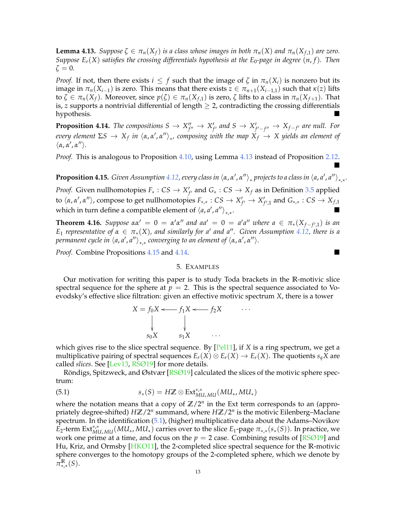<span id="page-12-2"></span>**Lemma 4.13.** *Suppose*  $\zeta \in \pi_n(X_f)$  *is a class whose images in both*  $\pi_n(X)$  *and*  $\pi_n(X_{f,1})$  *are zero. Suppose*  $E_r(X)$  *satisfies the crossing differentials hypothesis at the*  $E_0$ *-page in degree*  $(n, f)$ *. Then*  $\zeta = 0$ .

*Proof.* If not, then there exists  $i \leq f$  such that the image of  $\zeta$  in  $\pi_n(X_i)$  is nonzero but its image in  $\pi_n(X_{i-1})$  is zero. This means that there exists  $z \in \pi_{n+1}(X_{i-1,1})$  such that  $\kappa(z)$  lifts to  $\zeta \in \pi_n(X_f)$ . Moreover, since  $p(\zeta) \in \pi_n(X_{f,1})$  is zero,  $\zeta$  lifts to a class in  $\pi_n(X_{f+1})$ . That is, *z* supports a nontrivial differential of length  $\geq$  2, contradicting the crossing differentials hypothesis.

<span id="page-12-4"></span>**Proposition 4.14.** The compositions  $S \to X''_{f''} \to X'_{f'}$  and  $S \to X'_{f'-f''} \to X_{f-f'}$  are null. For *every element*  $\Sigma S \to X_f$  *in*  $\langle a, a', a'' \rangle_*$ *, composing with the map*  $X_f \to X$  *yields an element of*  $\langle \alpha, \alpha', \alpha'' \rangle.$ 

*Proof.* This is analogous to Proposition [4.10,](#page-11-0) using Lemma [4.13](#page-12-2) instead of Proposition [2.12.](#page-5-1) Ë

<span id="page-12-3"></span>**Proposition 4.15.** *Given Assumption [4.12,](#page-11-2) every class in*  $\langle a, a', a'' \rangle_*$  *projects to a class in*  $\langle a, a', a'' \rangle_{*,*}.$ 

*Proof.* Given nullhomotopies  $F_* : CS \to X'_{f'}$  and  $G_* : CS \to X_f$  as in Definition [3.5](#page-7-3) applied  $\alpha$  *(α, α', α''*), compose to get nullhomotopies  $F_{*,*}: CS \to X'_{f'} \to X'_{f',1}$  and  $G_{*,*}: CS \to X_{f,1}$ which in turn define a compatible element of  $\langle a, a', a'' \rangle_{*,*}$ .

<span id="page-12-1"></span>**Theorem 4.16.** *Suppose*  $\alpha \alpha' = 0 = \alpha' \alpha''$  and  $a a' = 0 = a' a''$  where  $a \in \pi_*(X_{f-f',1})$  is an  $E_1$  *representative of*  $\alpha \in \pi_*(X)$ , and similarly for a' and a''. Given Assumption [4.12,](#page-11-2) there is a *permanent cycle in*  $\langle a, a', a'' \rangle_{*,*}$  *converging to an element of*  $\langle \alpha, \alpha', \alpha'' \rangle$ *.* 

<span id="page-12-0"></span>*Proof.* Combine Propositions [4.15](#page-12-3) and [4.14.](#page-12-4)

## 5. EXAMPLES

Our motivation for writing this paper is to study Toda brackets in the **R**-motivic slice spectral sequence for the sphere at  $p = 2$ . This is the spectral sequence associated to Voevodsky's effective slice filtration: given an effective motivic spectrum *X*, there is a tower

<span id="page-12-5"></span>
$$
X = f_0 X \longleftarrow f_1 X \longleftarrow f_2 X \qquad \cdots
$$
  
\n
$$
\downarrow \qquad \qquad \downarrow
$$
  
\n
$$
s_0 X \qquad s_1 X \qquad \cdots
$$

which gives rise to the slice spectral sequence. By [\[Pel11\]](#page-14-2), if *X* is a ring spectrum, we get a multiplicative pairing of spectral sequences  $E_r(X) \otimes E_r(X) \to E_r(X)$ . The quotients  $s_qX$  are called *slices*. See [\[Lev13,](#page-13-7) [RSØ19\]](#page-14-3) for more details.

Röndigs, Spitzweck, and Østvær [[RSØ19\]](#page-14-3) calculated the slices of the motivic sphere spectrum:

(5.1) 
$$
s_*(S) = H\mathbb{Z} \otimes \text{Ext}^{*,*}_{\text{MU}_* \text{MU}}(\text{MU}_*, \text{MU}_*)
$$

where the notation means that a copy of  $\mathbb{Z}/2^n$  in the Ext term corresponds to an (appropriately degree-shifted) *H***Z**/2*<sup>n</sup>* summand, where *H***Z**/2*<sup>n</sup>* is the motivic Eilenberg–Maclane spectrum. In the identification [\(5.1\)](#page-12-5), (higher) multiplicative data about the Adams–Novikov  $\vec{E}_2$ -term  $Ext^{*,*}_{MUL_*MU}(MU_*, MU_*)$  carries over to the slice  $E_1$ -page  $\pi_{*,*}(s_*(S))$ . In practice, we work one prime at a time, and focus on the  $p = 2$  case. Combining results of  $[RSØ19]$  and Hu, Kriz, and Ormsby [\[HKO11\]](#page-13-8), the 2-completed slice spectral sequence for the **R**-motivic sphere converges to the homotopy groups of the 2-completed sphere, which we denote by *π* **R** ∗,∗ (*S*).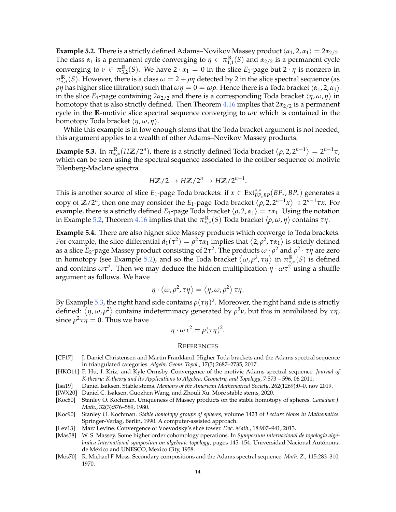<span id="page-13-9"></span>**Example 5.2.** There is a strictly defined Adams–Novikov Massey product  $\langle \alpha_1, 2, \alpha_1 \rangle = 2\alpha_{2/2}$ . The class  $\alpha_1$  is a permanent cycle converging to  $\eta \in \pi_{1,1}^{\mathbb{R}}(S)$  and  $\alpha_{2/2}$  is a permanent cycle converging to  $\nu \in \pi_{3,2}^{\mathbb{R}}(S)$ . We have  $2 \cdot \alpha_1 = 0$  in the slice  $E_1$ -page but  $2 \cdot \eta$  is nonzero in  $\pi_{*,*}^{\mathbb{R}}(S)$ . However, there is a class  $ω = 2 + ρη$  detected by 2 in the slice spectral sequence (as *ρη* has higher slice filtration) such that  $\omega\eta = 0 = \omega\rho$ . Hence there is a Toda bracket  $\langle \alpha_1, 2, \alpha_1 \rangle$ in the slice *E*<sub>1</sub>-page containing  $2a_{2/2}$  and there is a corresponding Toda bracket  $\langle \eta, \omega, \eta \rangle$  in homotopy that is also strictly defined. Then Theorem [4.16](#page-12-1) implies that 2*α*2/2 is a permanent cycle in the **R**-motivic slice spectral sequence converging to *ων* which is contained in the homotopy Toda bracket  $\langle η, ω, η \rangle$ .

While this example is in low enough stems that the Toda bracket argument is not needed, this argument applies to a wealth of other Adams–Novikov Massey products.

<span id="page-13-10"></span>**Example 5.3.** In  $\pi_{*,*}^{\mathbb{R}}(H\mathbb{Z}/2^n)$ , there is a strictly defined Toda bracket  $\langle \rho, 2, 2^{n-1} \rangle = 2^{n-1}\tau$ , which can be seen using the spectral sequence associated to the cofiber sequence of motivic Eilenberg-Maclane spectra

$$
H\mathbb{Z}/2 \to H\mathbb{Z}/2^n \to H\mathbb{Z}/2^{n-1}.
$$

This is another source of slice  $E_1$ -page Toda brackets: if  $x \in Ext^{*,*}_{BP_*BP}(BP_*, BP_*)$  generates a copy of  $\mathbb{Z}/2^n$ , then one may consider the  $E_1$ -page Toda bracket  $\langle \rho, 2, 2^{n-1}x \rangle \ni 2^{n-1}\tau x$ . For example, there is a strictly defined *E*<sub>1</sub>-page Toda bracket  $\langle \rho, 2, \alpha_1 \rangle = \tau \alpha_1$ . Using the notation in Example [5.2,](#page-13-9) Theorem [4.16](#page-12-1) implies that the  $\pi_{*, *}^{\mathbb{R}}(S)$  Toda bracket  $\langle \rho, \omega, \eta \rangle$  contains *τη*.

**Example 5.4.** There are also higher slice Massey products which converge to Toda brackets. For example, the slice differential  $d_1(\tau^2) = \rho^2 \tau \alpha_1$  implies that  $\langle 2, \rho^2, \tau \alpha_1 \rangle$  is strictly defined as a slice *E*2-page Massey product consisting of 2*τ* 2 . The products *ω* · *ρ* <sup>2</sup> and *ρ* 2 · *τη* are zero in homotopy (see Example [5.2\)](#page-13-9), and so the Toda bracket  $\langle \omega, \rho^2, \tau\eta\rangle$  in  $\pi_{*,*}^{\mathbb{R}}(S)$  is defined and contains *ωτ*<sup>2</sup> . Then we may deduce the hidden multiplication *η* · *ωτ*<sup>2</sup> using a shuffle argument as follows. We have

$$
\eta \cdot \langle \omega, \rho^2, \tau \eta \rangle = \langle \eta, \omega, \rho^2 \rangle \tau \eta.
$$

By Example [5.3,](#page-13-10) the right hand side contains  $\rho(\tau\eta)^2.$  Moreover, the right hand side is strictly defined: *η*, *ω*, *ρ* 2 contains indeterminacy generated by *ρ* <sup>3</sup>*ν*, but this in annihilated by *τη*, since  $\rho^2\tau\eta=0.$  Thus we have

$$
\eta \cdot \omega \tau^2 = \rho(\tau \eta)^2.
$$

#### **REFERENCES**

- <span id="page-13-6"></span>[CF17] J. Daniel Christensen and Martin Frankland. Higher Toda brackets and the Adams spectral sequence in triangulated categories. *Algebr. Geom. Topol.*, 17(5):2687–2735, 2017.
- <span id="page-13-8"></span>[HKO11] P. Hu, I. Kriz, and Kyle Ormsby. Convergence of the motivic Adams spectral sequence. *Journal of K-theory: K-theory and its Applications to Algebra, Geometry, and Topology*, 7:573 – 596, 06 2011.
- <span id="page-13-3"></span>[Isa19] Daniel Isaksen. Stable stems. *Memoirs of the American Mathematical Society*, 262(1269):0–0, nov 2019.
- <span id="page-13-4"></span>[IWX20] Daniel C. Isaksen, Guozhen Wang, and Zhouli Xu. More stable stems, 2020.
- <span id="page-13-5"></span>[Koc80] Stanley O. Kochman. Uniqueness of Massey products on the stable homotopy of spheres. *Canadian J. Math.*, 32(3):576–589, 1980.
- <span id="page-13-1"></span>[Koc90] Stanley O. Kochman. *Stable homotopy groups of spheres*, volume 1423 of *Lecture Notes in Mathematics*. Springer-Verlag, Berlin, 1990. A computer-assisted approach.
- <span id="page-13-7"></span>[Lev13] Marc Levine. Convergence of Voevodsky's slice tower. *Doc. Math.*, 18:907–941, 2013.
- <span id="page-13-0"></span>[Mas58] W. S. Massey. Some higher order cohomology operations. In Symposium internacional de topología alge*braica International symposium on algebraic topology*, pages 145–154. Universidad Nacional Autonoma ´ de Mexico and UNESCO, Mexico City, 1958. ´
- <span id="page-13-2"></span>[Mos70] R. Michael F. Moss. Secondary compositions and the Adams spectral sequence. *Math. Z.*, 115:283–310, 1970.